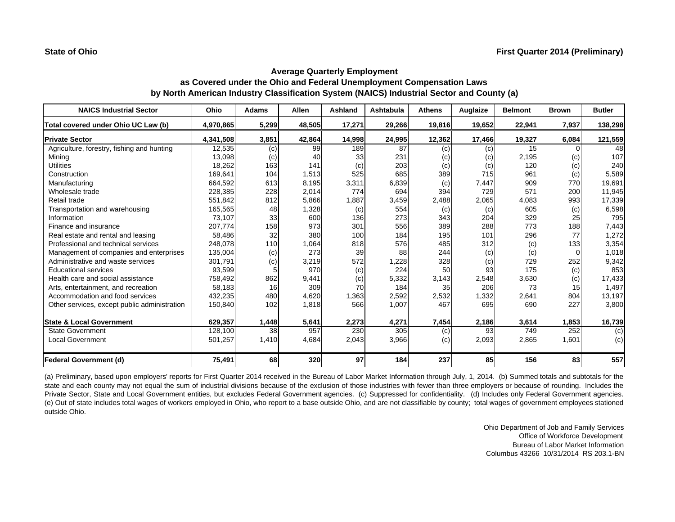| <b>NAICS Industrial Sector</b>               | Ohio      | <b>Adams</b> | Allen  | Ashland           | Ashtabula | <b>Athens</b> | Auglaize | <b>Belmont</b> | <b>Brown</b> | <b>Butler</b> |
|----------------------------------------------|-----------|--------------|--------|-------------------|-----------|---------------|----------|----------------|--------------|---------------|
| Total covered under Ohio UC Law (b)          | 4,970,865 | 5,299        | 48,505 | 17,271            | 29,266    | 19,816        | 19,652   | 22,941         | 7,937        | 138,298       |
| <b>Private Sector</b>                        | 4,341,508 | 3,851        | 42,864 | 14,998            | 24,995    | 12,362        | 17,466   | 19,327         | 6,084        | 121,559       |
| Agriculture, forestry, fishing and hunting   | 12,535    | (c)          | 99     | 189               | 87        | (c)           | (c)      | 15             |              | 48            |
| Mining                                       | 13,098    | (c)          | 40     | 33                | 231       | (c)           | (c)      | 2,195          | (c)          | 107           |
| <b>Utilities</b>                             | 18,262    | 163          | 141    | (c)               | 203       | (c)           | (c)      | 120            | (c)          | 240           |
| Construction                                 | 169,641   | 104          | 1,513  | 525               | 685       | 389           | 715      | 961            | (c)          | 5,589         |
| Manufacturing                                | 664,592   | 613          | 8,195  | 3,311             | 6,839     | (c)           | 7,447    | 909            | 770          | 19,691        |
| Wholesale trade                              | 228,385   | 228          | 2,014  | 774               | 694       | 394           | 729      | 571            | 200          | 11,945        |
| Retail trade                                 | 551,842   | 812          | 5,866  | 1,887             | 3,459     | 2,488         | 2,065    | 4,083          | 993          | 17,339        |
| Transportation and warehousing               | 165,565   | 48           | 1,328  | (c)               | 554       | (c)           | (c)      | 605            | (c)          | 6,598         |
| Information                                  | 73,107    | 33           | 600    | 136               | 273       | 343           | 204      | 329            | 25           | 795           |
| Finance and insurance                        | 207,774   | 158          | 973    | 301               | 556       | 389           | 288      | 773            | 188          | 7,443         |
| Real estate and rental and leasing           | 58,486    | 32           | 380    | 100               | 184       | 195           | 101      | 296            | 77           | 1,272         |
| Professional and technical services          | 248,078   | 110          | 1,064  | 818               | 576       | 485           | 312      | (c)            | 133          | 3,354         |
| Management of companies and enterprises      | 135,004   | (c)          | 273    | 39                | 88        | 244           | (c)      | (c)            | $\Omega$     | 1,018         |
| Administrative and waste services            | 301,791   | (c)          | 3,219  | 572               | 1,228     | 328           | (c)      | 729            | 252          | 9,342         |
| Educational services                         | 93,599    |              | 970    | $\left( c\right)$ | 224       | 50            | 93       | 175            | (c)          | 853           |
| Health care and social assistance            | 758,492   | 862          | 9,441  | (c)               | 5,332     | 3,143         | 2,548    | 3,630          | (c)          | 17,433        |
| Arts, entertainment, and recreation          | 58.183    | 16           | 309    | 70                | 184       | 35            | 206      | 73             | 15           | 1,497         |
| Accommodation and food services              | 432,235   | 480          | 4,620  | 1,363             | 2,592     | 2,532         | 1,332    | 2,641          | 804          | 13,197        |
| Other services, except public administration | 150,840   | 102          | 1,818  | 566               | 1,007     | 467           | 695      | 690            | 227          | 3,800         |
| <b>State &amp; Local Government</b>          | 629,357   | 1,448        | 5,641  | 2,273             | 4,271     | 7,454         | 2,186    | 3,614          | 1,853        | 16,739        |
| <b>State Government</b>                      | 128,100   | 38           | 957    | 230               | 305       | (c)           | 93       | 749            | 252          | (c)           |
| <b>Local Government</b>                      | 501,257   | 1,410        | 4,684  | 2,043             | 3,966     | (c)           | 2,093    | 2,865          | 1,601        | (c)           |
| <b>Federal Government (d)</b>                | 75,491    | 68           | 320    | 97                | 184       | 237           | 85       | 156            | 83           | 557           |

(a) Preliminary, based upon employers' reports for First Quarter 2014 received in the Bureau of Labor Market Information through July, 1, 2014. (b) Summed totals and subtotals for the state and each county may not equal the sum of industrial divisions because of the exclusion of those industries with fewer than three employers or because of rounding. Includes the Private Sector, State and Local Government entities, but excludes Federal Government agencies. (c) Suppressed for confidentiality. (d) Includes only Federal Government agencies. (e) Out of state includes total wages of workers employed in Ohio, who report to <sup>a</sup> base outside Ohio, and are not classifiable by county; total wages of government employees stationed outside Ohio.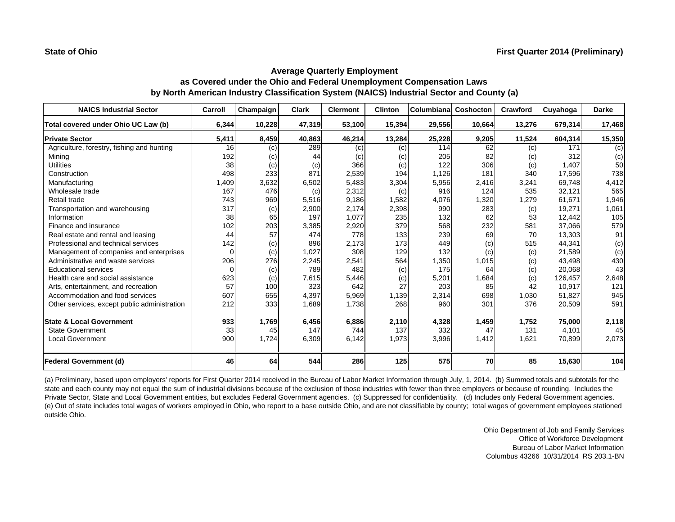| <b>NAICS Industrial Sector</b>               | Carroll  | Champaign | <b>Clark</b> | <b>Clermont</b> | <b>Clinton</b> | Columbiana | Coshocton | Crawford | Cuyahoga | <b>Darke</b> |
|----------------------------------------------|----------|-----------|--------------|-----------------|----------------|------------|-----------|----------|----------|--------------|
| Total covered under Ohio UC Law (b)          | 6,344    | 10,228    | 47,319       | 53,100          | 15,394         | 29,556     | 10,664    | 13,276   | 679,314  | 17,468       |
| <b>Private Sector</b>                        | 5,411    | 8,459     | 40,863       | 46,214          | 13,284         | 25,228     | 9,205     | 11,524   | 604,314  | 15,350       |
| Agriculture, forestry, fishing and hunting   | 16       | (c)       | 289          | (c)             | (c)            | 114        | 62        | (c)      | 171      | (c)          |
| Mining                                       | 192      | (c)       | 44           | (c)             | (c)            | 205        | 82        | (c)      | 312      | (c)          |
| <b>Utilities</b>                             | 38       | (c)       | (c)          | 366             | (c)            | 122        | 306       | (c)      | 1.407    | 50           |
| Construction                                 | 498      | 233       | 871          | 2,539           | 194            | 1,126      | 181       | 340      | 17,596   | 738          |
| Manufacturing                                | 1,409    | 3,632     | 6,502        | 5,483           | 3,304          | 5,956      | 2,416     | 3,241    | 69,748   | 4,412        |
| Wholesale trade                              | 167      | 476       | (c)          | 2,312           | (c)            | 916        | 124       | 535      | 32,121   | 565          |
| Retail trade                                 | 743      | 969       | 5,516        | 9,186           | 1,582          | 4,076      | 1,320     | 1,279    | 61,671   | 1,946        |
| Transportation and warehousing               | 317      | (c)       | 2,900        | 2,174           | 2,398          | 990        | 283       | (c)      | 19,271   | 1,061        |
| Information                                  | 38       | 65        | 197          | 1,077           | 235            | 132        | 62        | 53       | 12,442   | 105          |
| Finance and insurance                        | 102      | 203       | 3,385        | 2,920           | 379            | 568        | 232       | 581      | 37,066   | 579          |
| Real estate and rental and leasing           | 44       | 57        | 474          | 778             | 133            | 239        | 69        | 70       | 13,303   | 91           |
| Professional and technical services          | 142      | (c)       | 896          | 2,173           | 173            | 449        | (c)       | 515      | 44,341   | (c)          |
| Management of companies and enterprises      | $\Omega$ | (c)       | 1,027        | 308             | 129            | 132        | (c)       | (c)      | 21,589   | (c)          |
| Administrative and waste services            | 206      | 276       | 2,245        | 2,541           | 564            | 1,350      | 1,015     | (c)      | 43,498   | 430          |
| <b>Educational services</b>                  | $\Omega$ | (c)       | 789          | 482             | (c)            | 175        | 64        | (c)      | 20,068   | 43           |
| Health care and social assistance            | 623      | (c)       | 7,615        | 5,446           | (c)            | 5,201      | 1,684     | (c)      | 126,457  | 2,648        |
| Arts, entertainment, and recreation          | 57       | 100       | 323          | 642             | 27             | 203        | 85        | 42       | 10,917   | 121          |
| Accommodation and food services              | 607      | 655       | 4,397        | 5,969           | 1,139          | 2,314      | 698       | 1,030    | 51,827   | 945          |
| Other services, except public administration | 212      | 333       | 1,689        | 1,738           | 268            | 960        | 301       | 376      | 20,509   | 591          |
| <b>State &amp; Local Government</b>          | 933      | 1,769     | 6,456        | 6,886           | 2,110          | 4,328      | 1,459     | 1,752    | 75,000   | 2,118        |
| <b>State Government</b>                      | 33       | 45        | 147          | 744             | 137            | 332        | 47        | 131      | 4,101    | 45           |
| <b>Local Government</b>                      | 900      | 1,724     | 6,309        | 6,142           | 1,973          | 3,996      | 1,412     | 1,621    | 70,899   | 2,073        |
| <b>Federal Government (d)</b>                | 46       | 64        | 544          | 286             | 125            | 575        | <b>70</b> | 85       | 15,630   | 104          |

(a) Preliminary, based upon employers' reports for First Quarter 2014 received in the Bureau of Labor Market Information through July, 1, 2014. (b) Summed totals and subtotals for the state and each county may not equal the sum of industrial divisions because of the exclusion of those industries with fewer than three employers or because of rounding. Includes the Private Sector, State and Local Government entities, but excludes Federal Government agencies. (c) Suppressed for confidentiality. (d) Includes only Federal Government agencies. (e) Out of state includes total wages of workers employed in Ohio, who report to a base outside Ohio, and are not classifiable by county; total wages of government employees stationed outside Ohio.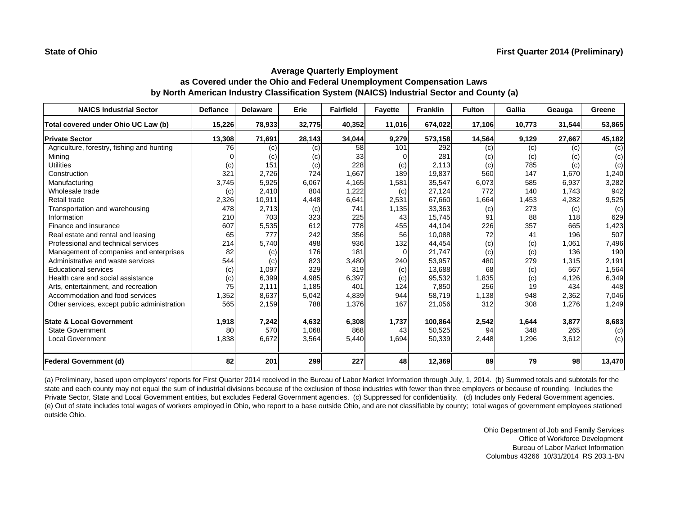| <b>NAICS Industrial Sector</b>               | <b>Defiance</b> | <b>Delaware</b> | Erie   | <b>Fairfield</b> | <b>Fayette</b> | <b>Franklin</b> | <b>Fulton</b> | Gallia | Geauga | Greene |
|----------------------------------------------|-----------------|-----------------|--------|------------------|----------------|-----------------|---------------|--------|--------|--------|
| Total covered under Ohio UC Law (b)          | 15,226          | 78,933          | 32,775 | 40,352           | 11,016         | 674,022         | 17,106        | 10,773 | 31,544 | 53,865 |
| <b>Private Sector</b>                        | 13,308          | 71,691          | 28,143 | 34,044           | 9,279          | 573,158         | 14,564        | 9,129  | 27,667 | 45,182 |
| Agriculture, forestry, fishing and hunting   | 76              | (c)             | (c)    | 58               | 101            | 292             | (c)           | (c)    | (c)    | (c)    |
| Mining                                       |                 | (c)             | (c)    | 33               |                | 281             | (c)           | (c)    | (c)    | (c)    |
| <b>Utilities</b>                             | (c)             | 151             | (c)    | 228              | (c)            | 2,113           | (c)           | 785    | (c)    | (c)    |
| Construction                                 | 321             | 2,726           | 724    | 1,667            | 189            | 19,837          | 560           | 147    | 1,670  | 1,240  |
| Manufacturing                                | 3,745           | 5,925           | 6,067  | 4,165            | 1,581          | 35,547          | 6,073         | 585    | 6,937  | 3,282  |
| Wholesale trade                              | (c)             | 2,410           | 804    | 1,222            | (c)            | 27,124          | 772           | 140    | 1,743  | 942    |
| Retail trade                                 | 2,326           | 10,911          | 4,448  | 6,641            | 2,531          | 67,660          | 1,664         | 1,453  | 4,282  | 9,525  |
| Transportation and warehousing               | 478             | 2,713           | (c)    | 741              | 1,135          | 33,363          | (c)           | 273    | (c)    | (c)    |
| Information                                  | 210             | 703             | 323    | 225              | 43             | 15,745          | 91            | 88     | 118    | 629    |
| Finance and insurance                        | 607             | 5,535           | 612    | 778              | 455            | 44,104          | 226           | 357    | 665    | 1,423  |
| Real estate and rental and leasing           | 65              | 777             | 242    | 356              | 56             | 10,088          | 72            | 41     | 196    | 507    |
| Professional and technical services          | 214             | 5,740           | 498    | 936              | 132            | 44,454          | (c)           | (c)    | 1,061  | 7,496  |
| Management of companies and enterprises      | 82              | (c)             | 176    | 181              | $\overline{0}$ | 21,747          | (c)           | (c)    | 136    | 190    |
| Administrative and waste services            | 544             | (c)             | 823    | 3,480            | 240            | 53,957          | 480           | 279    | 1,315  | 2,191  |
| <b>Educational services</b>                  | (c)             | 1,097           | 329    | 319              | (c)            | 13,688          | 68            | (c)    | 567    | 1,564  |
| Health care and social assistance            | (c)             | 6,399           | 4,985  | 6,397            | (c)            | 95,532          | 1,835         | (c)    | 4,126  | 6,349  |
| Arts, entertainment, and recreation          | 75              | 2,111           | 1,185  | 401              | 124            | 7,850           | 256           | 19     | 434    | 448    |
| Accommodation and food services              | 1,352           | 8,637           | 5,042  | 4,839            | 944            | 58,719          | 1,138         | 948    | 2,362  | 7,046  |
| Other services, except public administration | 565             | 2,159           | 788    | 1,376            | 167            | 21,056          | 312           | 308    | 1,276  | 1,249  |
| <b>State &amp; Local Government</b>          | 1,918           | 7,242           | 4,632  | 6,308            | 1,737          | 100,864         | 2,542         | 1,644  | 3,877  | 8,683  |
| <b>State Government</b>                      | 80              | 570             | 1,068  | 868              | 43             | 50,525          | 94            | 348    | 265    | (c)    |
| <b>Local Government</b>                      | 1,838           | 6,672           | 3,564  | 5,440            | 1,694          | 50,339          | 2,448         | 1,296  | 3,612  | (c)    |
| <b>Federal Government (d)</b>                | 82              | 201             | 299    | 227              | 48             | 12,369          | 89            | 79     | 98     | 13,470 |

(a) Preliminary, based upon employers' reports for First Quarter 2014 received in the Bureau of Labor Market Information through July, 1, 2014. (b) Summed totals and subtotals for the state and each county may not equal the sum of industrial divisions because of the exclusion of those industries with fewer than three employers or because of rounding. Includes the Private Sector, State and Local Government entities, but excludes Federal Government agencies. (c) Suppressed for confidentiality. (d) Includes only Federal Government agencies. (e) Out of state includes total wages of workers employed in Ohio, who report to a base outside Ohio, and are not classifiable by county; total wages of government employees stationed outside Ohio.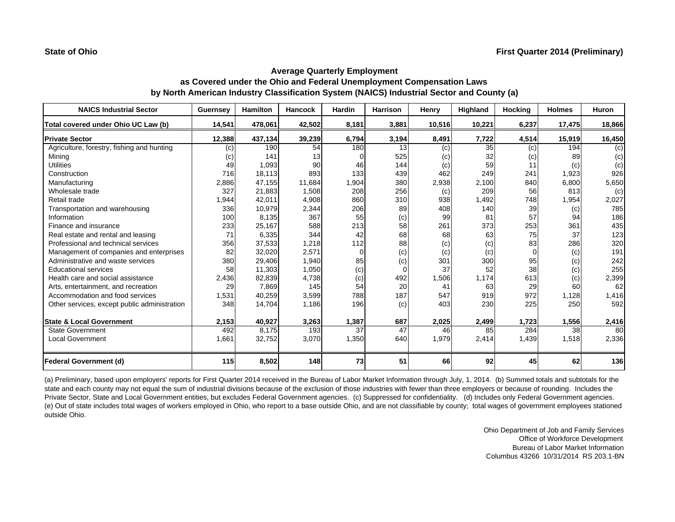| <b>NAICS Industrial Sector</b>               | Guernsey | <b>Hamilton</b> | Hancock | Hardin | Harrison | Henry  | Highland | <b>Hocking</b> | <b>Holmes</b> | Huron  |
|----------------------------------------------|----------|-----------------|---------|--------|----------|--------|----------|----------------|---------------|--------|
| Total covered under Ohio UC Law (b)          | 14.541   | 478,061         | 42,502  | 8,181  | 3,881    | 10,516 | 10,221   | 6,237          | 17,475        | 18,866 |
| <b>Private Sector</b>                        | 12,388   | 437,134         | 39,239  | 6,794  | 3,194    | 8,491  | 7,722    | 4,514          | 15,919        | 16,450 |
| Agriculture, forestry, fishing and hunting   | (c)      | 190             | 54      | 180    | 13       | (c)    | 35       | (c)            | 194           | (c)    |
| Mining                                       | (c)      | 141             | 13      |        | 525      | (c)    | 32       | (c)            | 89            | (c)    |
| <b>Utilities</b>                             | 49       | 1,093           | 90      | 46     | 144      | (c)    | 59       | 11             | (c)           | (c)    |
| Construction                                 | 716      | 18,113          | 893     | 133    | 439      | 462    | 249      | 241            | 1,923         | 926    |
| Manufacturing                                | 2,886    | 47,155          | 11,684  | 1,904  | 380      | 2,938  | 2,100    | 840            | 6,800         | 5,650  |
| Wholesale trade                              | 327      | 21,883          | 1,508   | 208    | 256      | (c)    | 209      | 56             | 813           | (c)    |
| Retail trade                                 | 1,944    | 42,011          | 4,908   | 860    | 310      | 938    | 1,492    | 748            | 1,954         | 2,027  |
| Transportation and warehousing               | 336      | 10,979          | 2,344   | 206    | 89       | 408    | 140      | 39             | (c)           | 785    |
| Information                                  | 100      | 8,135           | 367     | 55     | (c)      | 99     | 81       | 57             | 94            | 186    |
| Finance and insurance                        | 233      | 25,167          | 588     | 213    | 58       | 261    | 373      | 253            | 361           | 435    |
| Real estate and rental and leasing           | 71       | 6,335           | 344     | 42     | 68       | 68     | 63       | 75             | 37            | 123    |
| Professional and technical services          | 356      | 37,533          | 1,218   | 112    | 88       | (c)    | (c)      | 83             | 286           | 320    |
| Management of companies and enterprises      | 82       | 32,020          | 2,571   |        | (c)      | (c)    | (c)      | $\Omega$       | (c)           | 191    |
| Administrative and waste services            | 380      | 29,406          | 1,940   | 85     | (c)      | 301    | 300      | 95             | (c)           | 242    |
| <b>Educational services</b>                  | 58       | 11,303          | 1,050   | (c)    | $\Omega$ | 37     | 52       | 38             | (c)           | 255    |
| Health care and social assistance            | 2,436    | 82,839          | 4,738   | (c)    | 492      | 1,506  | 1.174    | 613            | (c)           | 2,399  |
| Arts, entertainment, and recreation          | 29       | 7.869           | 145     | 54     | 20       | 41     | 63       | 29             | 60            | 62     |
| Accommodation and food services              | 1,531    | 40,259          | 3,599   | 788    | 187      | 547    | 919      | 972            | 1,128         | 1,416  |
| Other services, except public administration | 348      | 14,704          | 1,186   | 196    | (c)      | 403    | 230      | 225            | 250           | 592    |
| <b>State &amp; Local Government</b>          | 2,153    | 40,927          | 3,263   | 1,387  | 687      | 2,025  | 2,499    | 1,723          | 1,556         | 2,416  |
| <b>State Government</b>                      | 492      | 8.175           | 193     | 37     | 47       | 46     | 85       | 284            | 38            | 80     |
| <b>Local Government</b>                      | 1,661    | 32,752          | 3,070   | 1,350  | 640      | 1,979  | 2,414    | 1,439          | 1,518         | 2,336  |
| <b>Federal Government (d)</b>                | 115      | 8,502           | 148     | 73     | 51       | 66     | 92       | 45             | 62            | 136    |

(a) Preliminary, based upon employers' reports for First Quarter 2014 received in the Bureau of Labor Market Information through July, 1, 2014. (b) Summed totals and subtotals for the state and each county may not equal the sum of industrial divisions because of the exclusion of those industries with fewer than three employers or because of rounding. Includes the Private Sector, State and Local Government entities, but excludes Federal Government agencies. (c) Suppressed for confidentiality. (d) Includes only Federal Government agencies. (e) Out of state includes total wages of workers employed in Ohio, who report to a base outside Ohio, and are not classifiable by county; total wages of government employees stationed outside Ohio.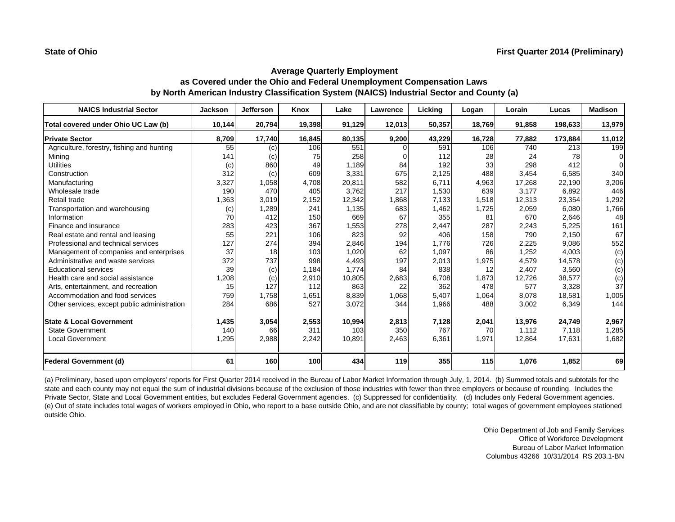| <b>NAICS Industrial Sector</b>               | <b>Jackson</b> | <b>Jefferson</b> | Knox   | Lake   | Lawrence | Licking | Logan  | Lorain | Lucas   | <b>Madison</b> |
|----------------------------------------------|----------------|------------------|--------|--------|----------|---------|--------|--------|---------|----------------|
| Total covered under Ohio UC Law (b)          | 10.144         | 20,794           | 19.398 | 91,129 | 12,013   | 50,357  | 18.769 | 91,858 | 198,633 | 13,979         |
| <b>Private Sector</b>                        | 8,709          | 17,740           | 16,845 | 80,135 | 9,200    | 43,229  | 16,728 | 77,882 | 173,884 | 11,012         |
| Agriculture, forestry, fishing and hunting   | 55             | (c)              | 106    | 551    |          | 591     | 106    | 740    | 213     | 199            |
| Mining                                       | 141            | (c)              | 75     | 258    |          | 112     | 28     | 24     | 78      | ∩              |
| <b>Utilities</b>                             | (c)            | 860              | 49     | 1,189  | 84       | 192     | 33     | 298    | 412     |                |
| Construction                                 | 312            | (c)              | 609    | 3,331  | 675      | 2,125   | 488    | 3,454  | 6.585   | 340            |
| Manufacturing                                | 3,327          | 1,058            | 4,708  | 20,811 | 582      | 6,711   | 4,963  | 17,268 | 22,190  | 3,206          |
| Wholesale trade                              | 190            | 470              | 405    | 3,762  | 217      | 1,530   | 639    | 3.177  | 6,892   | 446            |
| Retail trade                                 | 1,363          | 3,019            | 2,152  | 12,342 | 1,868    | 7,133   | 1,518  | 12,313 | 23,354  | 1,292          |
| Transportation and warehousing               | (c)            | 1,289            | 241    | 1,135  | 683      | 1,462   | 1,725  | 2,059  | 6,080   | 1,766          |
| Information                                  | 70             | 412              | 150    | 669    | 67       | 355     | 81     | 670    | 2,646   | 48             |
| Finance and insurance                        | 283            | 423              | 367    | 1,553  | 278      | 2,447   | 287    | 2,243  | 5,225   | 161            |
| Real estate and rental and leasing           | 55             | 221              | 106    | 823    | 92       | 406     | 158    | 790    | 2,150   | 67             |
| Professional and technical services          | 127            | 274              | 394    | 2,846  | 194      | 1,776   | 726    | 2,225  | 9,086   | 552            |
| Management of companies and enterprises      | 37             | 18               | 103    | 1,020  | 62       | 1,097   | 86     | 1,252  | 4,003   | (c)            |
| Administrative and waste services            | 372            | 737              | 998    | 4,493  | 197      | 2,013   | 1,975  | 4,579  | 14,578  | (c)            |
| <b>Educational services</b>                  | 39             | (c)              | 1,184  | 1,774  | 84       | 838     | 12     | 2,407  | 3,560   | (c)            |
| Health care and social assistance            | 1,208          | (c)              | 2,910  | 10,805 | 2,683    | 6,708   | 1,873  | 12,726 | 38,577  | (c)            |
| Arts, entertainment, and recreation          | 15             | 127              | 112    | 863    | 22       | 362     | 478    | 577    | 3.328   | 37             |
| Accommodation and food services              | 759            | 1,758            | 1,651  | 8,839  | 1,068    | 5,407   | 1,064  | 8,078  | 18,581  | 1,005          |
| Other services, except public administration | 284            | 686              | 527    | 3,072  | 344      | 1,966   | 488    | 3,002  | 6,349   | 144            |
| <b>State &amp; Local Government</b>          | 1,435          | 3,054            | 2,553  | 10,994 | 2,813    | 7,128   | 2,041  | 13,976 | 24,749  | 2,967          |
| <b>State Government</b>                      | 140            | 66               | 311    | 103    | 350      | 767     | 70     | 1.112  | 7,118   | 1,285          |
| <b>Local Government</b>                      | 1,295          | 2,988            | 2,242  | 10,891 | 2,463    | 6,361   | 1,971  | 12,864 | 17,631  | 1,682          |
| <b>Federal Government (d)</b>                | 61             | 160              | 100    | 434    | 119      | 355     | 115    | 1,076  | 1,852   | 69             |

(a) Preliminary, based upon employers' reports for First Quarter 2014 received in the Bureau of Labor Market Information through July, 1, 2014. (b) Summed totals and subtotals for the state and each county may not equal the sum of industrial divisions because of the exclusion of those industries with fewer than three employers or because of rounding. Includes the Private Sector, State and Local Government entities, but excludes Federal Government agencies. (c) Suppressed for confidentiality. (d) Includes only Federal Government agencies. (e) Out of state includes total wages of workers employed in Ohio, who report to a base outside Ohio, and are not classifiable by county; total wages of government employees stationed outside Ohio.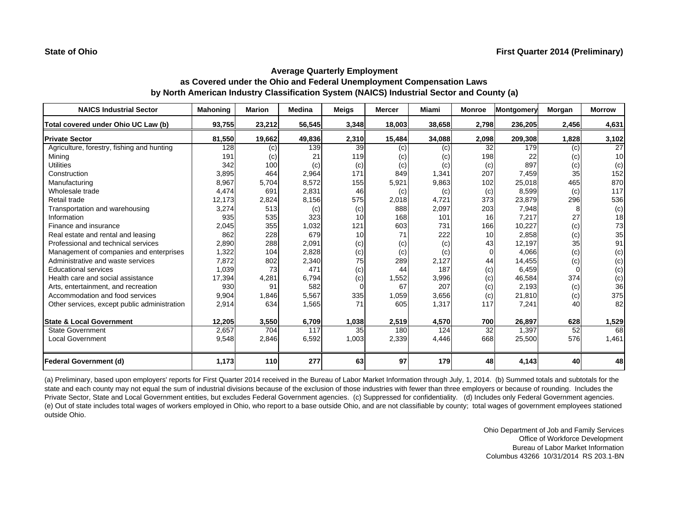| <b>NAICS Industrial Sector</b>               | <b>Mahoning</b> | <b>Marion</b> | <b>Medina</b> | <b>Meigs</b> | <b>Mercer</b> | Miami  | <b>Monroe</b>   | Montgomery | Morgan   | <b>Morrow</b> |
|----------------------------------------------|-----------------|---------------|---------------|--------------|---------------|--------|-----------------|------------|----------|---------------|
| Total covered under Ohio UC Law (b)          | 93,755          | 23,212        | 56,545        | 3,348        | 18,003        | 38,658 | 2,798           | 236,205    | 2,456    | 4,631         |
| <b>Private Sector</b>                        | 81,550          | 19,662        | 49,836        | 2,310        | 15,484        | 34,088 | 2,098           | 209,308    | 1,828    | 3,102         |
| Agriculture, forestry, fishing and hunting   | 128             | (c)           | 139           | 39           | (c)           | (c)    | 32              | 179        | (c)      | 27            |
| Mining                                       | 191             | (c)           | 21            | 119          | (c)           | (c)    | 198             | 22         | (c)      | 10            |
| <b>Utilities</b>                             | 342             | 100           | (c)           | (c)          | (c)           | (c)    | (c)             | 897        | (c)      | (c)           |
| Construction                                 | 3,895           | 464           | 2,964         | 171          | 849           | 1,341  | 207             | 7,459      | 35       | 152           |
| Manufacturing                                | 8,967           | 5,704         | 8,572         | 155          | 5,921         | 9,863  | 102             | 25,018     | 465      | 870           |
| Wholesale trade                              | 4,474           | 691           | 2,831         | 46           | (c)           | (c)    | (c)             | 8,599      | (c)      | 117           |
| Retail trade                                 | 12,173          | 2,824         | 8,156         | 575          | 2,018         | 4,721  | 373             | 23,879     | 296      | 536           |
| Transportation and warehousing               | 3,274           | 513           | (c)           | (c)          | 888           | 2,097  | 203             | 7,948      | 8        | (c)           |
| Information                                  | 935             | 535           | 323           | 10           | 168           | 101    | 16              | 7.217      | 27       | 18            |
| Finance and insurance                        | 2,045           | 355           | 1,032         | 121          | 603           | 731    | 166             | 10,227     | (c)      | 73            |
| Real estate and rental and leasing           | 862             | 228           | 679           | 10           | 71            | 222    | 10 <sup>1</sup> | 2.858      | (c)      | 35            |
| Professional and technical services          | 2,890           | 288           | 2,091         | (c)          | (c)           | (c)    | 43              | 12,197     | 35       | 91            |
| Management of companies and enterprises      | 1,322           | 104           | 2,828         | (c)          | (c)           | (c)    | $\overline{0}$  | 4.066      | (c)      | (c)           |
| Administrative and waste services            | 7,872           | 802           | 2,340         | 75           | 289           | 2,127  | 44              | 14,455     | (c)      | (c)           |
| <b>Educational services</b>                  | 1,039           | 73            | 471           | (c)          | 44            | 187    | (c)             | 6,459      | $\Omega$ | (c)           |
| Health care and social assistance            | 17,394          | 4,281         | 6,794         | (c)          | 1,552         | 3,996  | (c)             | 46,584     | 374      | (c)           |
| Arts, entertainment, and recreation          | 930             | 91            | 582           |              | 67            | 207    | (c)             | 2.193      | (c)      | 36            |
| Accommodation and food services              | 9,904           | 1,846         | 5,567         | 335          | 1,059         | 3,656  | (c)             | 21,810     | (c)      | 375           |
| Other services, except public administration | 2,914           | 634           | 1,565         | 71           | 605           | 1,317  | 117             | 7,241      | 40       | 82            |
| <b>State &amp; Local Government</b>          | 12,205          | 3,550         | 6,709         | 1,038        | 2,519         | 4,570  | 700             | 26,897     | 628      | 1,529         |
| <b>State Government</b>                      | 2,657           | 704           | 117           | 35           | 180           | 124    | 32              | 1,397      | 52       | 68            |
| <b>Local Government</b>                      | 9,548           | 2,846         | 6,592         | 1,003        | 2,339         | 4,446  | 668             | 25,500     | 576      | 1,461         |
| <b>Federal Government (d)</b>                | 1,173           | 110           | 277           | 63           | 97            | 179    | 48              | 4,143      | 40       | 48            |

(a) Preliminary, based upon employers' reports for First Quarter 2014 received in the Bureau of Labor Market Information through July, 1, 2014. (b) Summed totals and subtotals for the state and each county may not equal the sum of industrial divisions because of the exclusion of those industries with fewer than three employers or because of rounding. Includes the Private Sector, State and Local Government entities, but excludes Federal Government agencies. (c) Suppressed for confidentiality. (d) Includes only Federal Government agencies. (e) Out of state includes total wages of workers employed in Ohio, who report to a base outside Ohio, and are not classifiable by county; total wages of government employees stationed outside Ohio.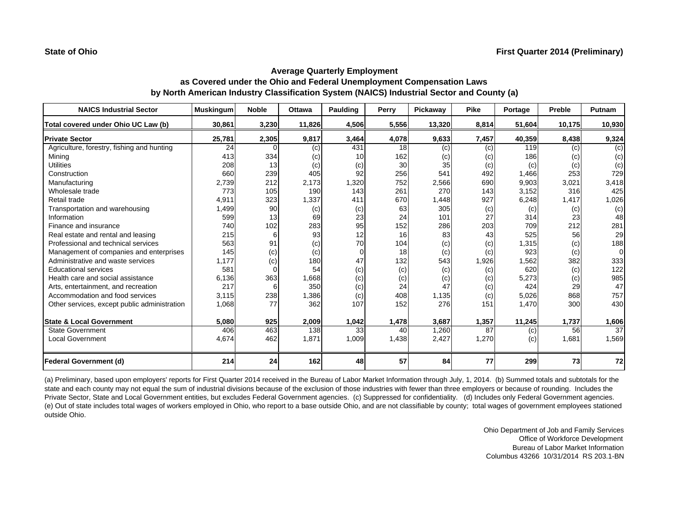| <b>NAICS Industrial Sector</b>               | <b>Muskingum</b> | <b>Noble</b> | <b>Ottawa</b> | Paulding | Perry           | Pickaway | <b>Pike</b> | Portage | <b>Preble</b> | Putnam   |
|----------------------------------------------|------------------|--------------|---------------|----------|-----------------|----------|-------------|---------|---------------|----------|
| Total covered under Ohio UC Law (b)          | 30.861           | 3,230        | 11.826        | 4,506    | 5,556           | 13,320   | 8,814       | 51,604  | 10,175        | 10,930   |
| <b>Private Sector</b>                        | 25,781           | 2,305        | 9,817         | 3,464    | 4,078           | 9,633    | 7,457       | 40,359  | 8,438         | 9,324    |
| Agriculture, forestry, fishing and hunting   | 24               |              | (c)           | 431      | 18              | (c)      | (c)         | 119     | (c)           | (c)      |
| Minina                                       | 413              | 334          | (c)           | 10       | 162             | (c)      | (c)         | 186     | (c)           | (c)      |
| <b>Utilities</b>                             | 208              | 13           | (c)           | (c)      | 30 <sup>1</sup> | 35       | (c)         | (c)     | (c)           | (c)      |
| Construction                                 | 660              | 239          | 405           | 92       | 256             | 541      | 492         | 1,466   | 253           | 729      |
| Manufacturing                                | 2,739            | 212          | 2.173         | 1,320    | 752             | 2,566    | 690         | 9,903   | 3,021         | 3,418    |
| Wholesale trade                              | 773              | 105          | 190           | 143      | 261             | 270      | 143         | 3,152   | 316           | 425      |
| Retail trade                                 | 4,911            | 323          | 1,337         | 411      | 670             | 1,448    | 927         | 6,248   | 1,417         | 1,026    |
| Transportation and warehousing               | 1,499            | 90           | (c)           | (c)      | 63              | 305      | (c)         | (c)     | (c)           | (c)      |
| Information                                  | 599              | 13           | 69            | 23       | 24              | 101      | 27          | 314     | 23            | 48       |
| Finance and insurance                        | 740              | 102          | 283           | 95       | 152             | 286      | 203         | 709     | 212           | 281      |
| Real estate and rental and leasing           | 215              | 6            | 93            | 12       | 16              | 83       | 43          | 525     | 56            | 29       |
| Professional and technical services          | 563              | 91           | (c)           | 70       | 104             | (c)      | (c)         | 1,315   | (c)           | 188      |
| Management of companies and enterprises      | 145              | (c)          | (c)           | $\Omega$ | 18              | (c)      | (c)         | 923     | (c)           | $\Omega$ |
| Administrative and waste services            | 1,177            | (c)          | 180           | 47       | 132             | 543      | 1,926       | 1,562   | 382           | 333      |
| <b>Educational services</b>                  | 581              | $\Omega$     | 54            | (c)      | (c)             | (c)      | (c)         | 620     | (c)           | 122      |
| Health care and social assistance            | 6,136            | 363          | 1,668         | (c)      | (c)             | (c)      | (c)         | 5,273   | (c)           | 985      |
| Arts, entertainment, and recreation          | 217              |              | 350           | (c)      | 24              | 47       | (c)         | 424     | 29            | 47       |
| Accommodation and food services              | 3,115            | 238          | 1,386         | (c)      | 408             | 1,135    | (c)         | 5,026   | 868           | 757      |
| Other services, except public administration | 1,068            | 77           | 362           | 107      | 152             | 276      | 151         | 1,470   | 300           | 430      |
| <b>State &amp; Local Government</b>          | 5,080            | 925          | 2,009         | 1,042    | 1,478           | 3,687    | 1,357       | 11,245  | 1,737         | 1,606    |
| <b>State Government</b>                      | 406              | 463          | 138           | 33       | 40              | 1,260    | 87          | (c)     | 56            | 37       |
| <b>Local Government</b>                      | 4,674            | 462          | 1,871         | 1,009    | 1,438           | 2,427    | 1,270       | (c)     | 1,681         | 1,569    |
| <b>Federal Government (d)</b>                | 214              | 24           | 162           | 48       | 57              | 84       | 77          | 299     | 73            | 72       |

(a) Preliminary, based upon employers' reports for First Quarter 2014 received in the Bureau of Labor Market Information through July, 1, 2014. (b) Summed totals and subtotals for the state and each county may not equal the sum of industrial divisions because of the exclusion of those industries with fewer than three employers or because of rounding. Includes the Private Sector, State and Local Government entities, but excludes Federal Government agencies. (c) Suppressed for confidentiality. (d) Includes only Federal Government agencies. (e) Out of state includes total wages of workers employed in Ohio, who report to a base outside Ohio, and are not classifiable by county; total wages of government employees stationed outside Ohio.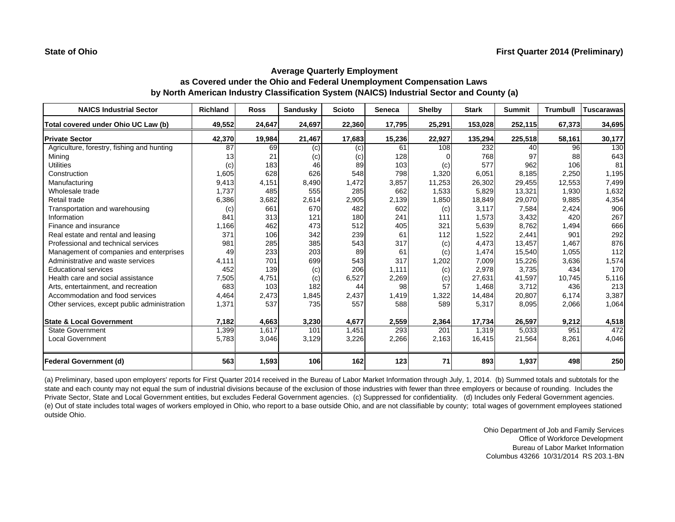| <b>NAICS Industrial Sector</b>               | <b>Richland</b> | <b>Ross</b> | <b>Sandusky</b> | <b>Scioto</b> | <b>Seneca</b> | <b>Shelby</b> | <b>Stark</b> | <b>Summit</b> | <b>Trumbull</b> | <b>Tuscarawas</b> |
|----------------------------------------------|-----------------|-------------|-----------------|---------------|---------------|---------------|--------------|---------------|-----------------|-------------------|
| Total covered under Ohio UC Law (b)          | 49,552          | 24,647      | 24,697          | 22,360        | 17,795        | 25,291        | 153,028      | 252,115       | 67,373          | 34,695            |
| <b>Private Sector</b>                        | 42,370          | 19,984      | 21,467          | 17,683        | 15,236        | 22,927        | 135,294      | 225,518       | 58,161          | 30,177            |
| Agriculture, forestry, fishing and hunting   | 87              | 69          | (c)             | (c)           | 61            | 108           | 232          | 40            | 96              | 130               |
| Minina                                       | 13              | 21          | (c)             | (c)           | 128           |               | 768          | 97            | 88              | 643               |
| <b>Utilities</b>                             | (c)             | 183         | 46              | 89            | 103           | (c)           | 577          | 962           | 106             | 81                |
| Construction                                 | 1,605           | 628         | 626             | 548           | 798           | 1,320         | 6,051        | 8,185         | 2,250           | 1,195             |
| Manufacturing                                | 9,413           | 4,151       | 8,490           | 1,472         | 3,857         | 11,253        | 26,302       | 29,455        | 12,553          | 7,499             |
| Wholesale trade                              | 1,737           | 485         | 555             | 285           | 662           | 1,533         | 5,829        | 13,321        | 1,930           | 1,632             |
| Retail trade                                 | 6,386           | 3,682       | 2,614           | 2,905         | 2,139         | 1,850         | 18,849       | 29,070        | 9,885           | 4,354             |
| Transportation and warehousing               | (c)             | 661         | 670             | 482           | 602           | (c)           | 3,117        | 7,584         | 2,424           | 906               |
| Information                                  | 841             | 313         | 121             | 180           | 241           | 111           | 1,573        | 3,432         | 420             | 267               |
| Finance and insurance                        | 1,166           | 462         | 473             | 512           | 405           | 321           | 5,639        | 8,762         | 1,494           | 666               |
| Real estate and rental and leasing           | 371             | 106         | 342             | 239           | 61            | 112           | 1,522        | 2,441         | 901             | 292               |
| Professional and technical services          | 981             | 285         | 385             | 543           | 317           | (c)           | 4,473        | 13,457        | 1.467           | 876               |
| Management of companies and enterprises      | 49              | 233         | 203             | 89            | 61            | (c)           | 1,474        | 15,540        | 1,055           | 112               |
| Administrative and waste services            | 4,111           | 701         | 699             | 543           | 317           | 1,202         | 7,009        | 15,226        | 3,636           | 1,574             |
| <b>Educational services</b>                  | 452             | 139         | (c)             | 206           | 1,111         | (c)           | 2,978        | 3,735         | 434             | 170               |
| Health care and social assistance            | 7,505           | 4,751       | (c)             | 6,527         | 2,269         | (c)           | 27,631       | 41,597        | 10,745          | 5,116             |
| Arts, entertainment, and recreation          | 683             | 103         | 182             | 44            | 98            | 57            | 1,468        | 3,712         | 436             | 213               |
| Accommodation and food services              | 4,464           | 2,473       | 1,845           | 2,437         | 1,419         | 1,322         | 14,484       | 20,807        | 6,174           | 3,387             |
| Other services, except public administration | 1,371           | 537         | 735             | 557           | 588           | 589           | 5,317        | 8,095         | 2,066           | 1,064             |
| <b>State &amp; Local Government</b>          | 7,182           | 4,663       | 3,230           | 4,677         | 2,559         | 2,364         | 17,734       | 26,597        | 9,212           | 4,518             |
| <b>State Government</b>                      | 1,399           | 1,617       | 101             | 1,451         | 293           | 201           | 1,319        | 5,033         | 951             | 472               |
| <b>Local Government</b>                      | 5,783           | 3,046       | 3,129           | 3,226         | 2,266         | 2,163         | 16,415       | 21,564        | 8,261           | 4,046             |
| Federal Government (d)                       | 563             | 1,593       | 106             | 162           | 123           | 71            | 893          | 1,937         | 498             | 250               |

(a) Preliminary, based upon employers' reports for First Quarter 2014 received in the Bureau of Labor Market Information through July, 1, 2014. (b) Summed totals and subtotals for the state and each county may not equal the sum of industrial divisions because of the exclusion of those industries with fewer than three employers or because of rounding. Includes the Private Sector, State and Local Government entities, but excludes Federal Government agencies. (c) Suppressed for confidentiality. (d) Includes only Federal Government agencies. (e) Out of state includes total wages of workers employed in Ohio, who report to a base outside Ohio, and are not classifiable by county; total wages of government employees stationed outside Ohio.